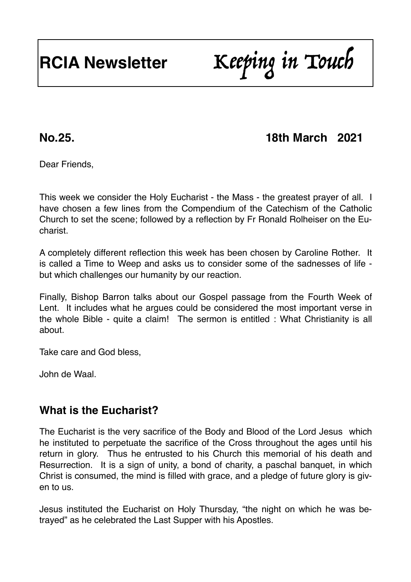# **RCIA Newsletter** Keeping in Touch

# **No.25. 18th March 2021**

Dear Friends,

This week we consider the Holy Eucharist - the Mass - the greatest prayer of all. I have chosen a few lines from the Compendium of the Catechism of the Catholic Church to set the scene; followed by a reflection by Fr Ronald Rolheiser on the Eucharist.

A completely different reflection this week has been chosen by Caroline Rother. It is called a Time to Weep and asks us to consider some of the sadnesses of life but which challenges our humanity by our reaction.

Finally, Bishop Barron talks about our Gospel passage from the Fourth Week of Lent. It includes what he argues could be considered the most important verse in the whole Bible - quite a claim! The sermon is entitled : What Christianity is all about.

Take care and God bless,

John de Waal.

# **What is the Eucharist?**

The Eucharist is the very sacrifice of the Body and Blood of the Lord Jesus which he instituted to perpetuate the sacrifice of the Cross throughout the ages until his return in glory. Thus he entrusted to his Church this memorial of his death and Resurrection. It is a sign of unity, a bond of charity, a paschal banquet, in which Christ is consumed, the mind is filled with grace, and a pledge of future glory is given to us.

Jesus instituted the Eucharist on Holy Thursday, "the night on which he was betrayed" as he celebrated the Last Supper with his Apostles.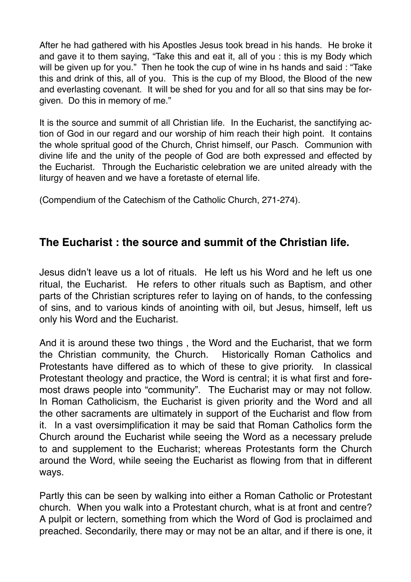After he had gathered with his Apostles Jesus took bread in his hands. He broke it and gave it to them saying, "Take this and eat it, all of you : this is my Body which will be given up for you." Then he took the cup of wine in hs hands and said : "Take this and drink of this, all of you. This is the cup of my Blood, the Blood of the new and everlasting covenant. It will be shed for you and for all so that sins may be forgiven. Do this in memory of me."

It is the source and summit of all Christian life. In the Eucharist, the sanctifying action of God in our regard and our worship of him reach their high point. It contains the whole spritual good of the Church, Christ himself, our Pasch. Communion with divine life and the unity of the people of God are both expressed and effected by the Eucharist. Through the Eucharistic celebration we are united already with the liturgy of heaven and we have a foretaste of eternal life.

(Compendium of the Catechism of the Catholic Church, 271-274).

### **The Eucharist : the source and summit of the Christian life.**

Jesus didn't leave us a lot of rituals. He left us his Word and he left us one ritual, the Eucharist. He refers to other rituals such as Baptism, and other parts of the Christian scriptures refer to laying on of hands, to the confessing of sins, and to various kinds of anointing with oil, but Jesus, himself, left us only his Word and the Eucharist.

And it is around these two things , the Word and the Eucharist, that we form the Christian community, the Church. Historically Roman Catholics and Protestants have differed as to which of these to give priority. In classical Protestant theology and practice, the Word is central; it is what first and foremost draws people into "community". The Eucharist may or may not follow. In Roman Catholicism, the Eucharist is given priority and the Word and all the other sacraments are ultimately in support of the Eucharist and flow from it. In a vast oversimplification it may be said that Roman Catholics form the Church around the Eucharist while seeing the Word as a necessary prelude to and supplement to the Eucharist; whereas Protestants form the Church around the Word, while seeing the Eucharist as flowing from that in different ways.

Partly this can be seen by walking into either a Roman Catholic or Protestant church. When you walk into a Protestant church, what is at front and centre? A pulpit or lectern, something from which the Word of God is proclaimed and preached. Secondarily, there may or may not be an altar, and if there is one, it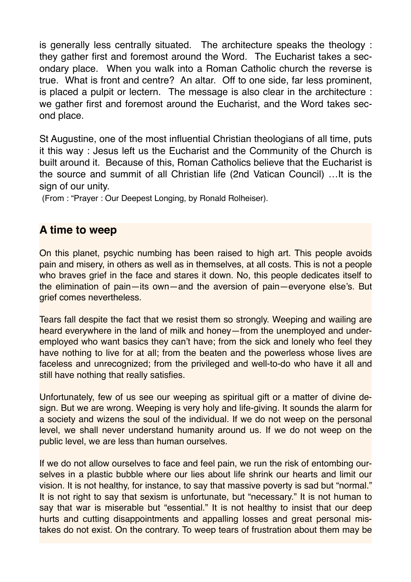is generally less centrally situated. The architecture speaks the theology : they gather first and foremost around the Word. The Eucharist takes a secondary place. When you walk into a Roman Catholic church the reverse is true. What is front and centre? An altar. Off to one side, far less prominent, is placed a pulpit or lectern. The message is also clear in the architecture : we gather first and foremost around the Eucharist, and the Word takes second place.

St Augustine, one of the most influential Christian theologians of all time, puts it this way : Jesus left us the Eucharist and the Community of the Church is built around it. Because of this, Roman Catholics believe that the Eucharist is the source and summit of all Christian life (2nd Vatican Council) …It is the sign of our unity.

(From : "Prayer : Our Deepest Longing, by Ronald Rolheiser).

#### **A time to weep**

On this planet, psychic numbing has been raised to high art. This people avoids pain and misery, in others as well as in themselves, at all costs. This is not a people who braves grief in the face and stares it down. No, this people dedicates itself to the elimination of pain—its own—and the aversion of pain—everyone else's. But grief comes nevertheless.

Tears fall despite the fact that we resist them so strongly. Weeping and wailing are heard everywhere in the land of milk and honey—from the unemployed and underemployed who want basics they can't have; from the sick and lonely who feel they have nothing to live for at all; from the beaten and the powerless whose lives are faceless and unrecognized; from the privileged and well-to-do who have it all and still have nothing that really satisfies.

Unfortunately, few of us see our weeping as spiritual gift or a matter of divine design. But we are wrong. Weeping is very holy and life-giving. It sounds the alarm for a society and wizens the soul of the individual. If we do not weep on the personal level, we shall never understand humanity around us. If we do not weep on the public level, we are less than human ourselves.

If we do not allow ourselves to face and feel pain, we run the risk of entombing ourselves in a plastic bubble where our lies about life shrink our hearts and limit our vision. It is not healthy, for instance, to say that massive poverty is sad but "normal." It is not right to say that sexism is unfortunate, but "necessary." It is not human to say that war is miserable but "essential." It is not healthy to insist that our deep hurts and cutting disappointments and appalling losses and great personal mistakes do not exist. On the contrary. To weep tears of frustration about them may be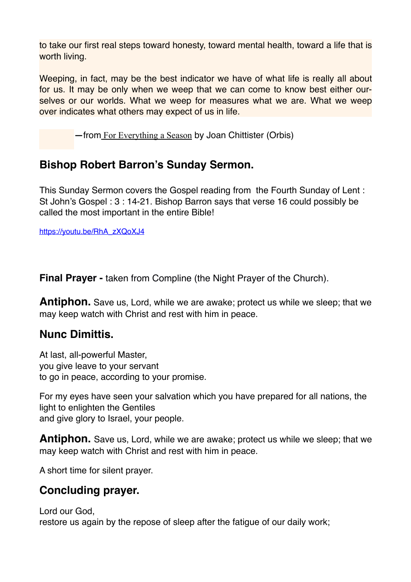to take our first real steps toward honesty, toward mental health, toward a life that is worth living.

Weeping, in fact, may be the best indicator we have of what life is really all about for us. It may be only when we weep that we can come to know best either ourselves or our worlds. What we weep for measures what we are. What we weep over indicates what others may expect of us in life.

**—**from[For Everything a Season](https://joanchittister.us6.list-manage.com/track/click?u=0bcd62516ffe48a23a1231c56&id=5ed2d5951c&e=6a80be8e5c) by Joan Chittister (Orbis)

# **Bishop Robert Barron's Sunday Sermon.**

This Sunday Sermon covers the Gospel reading from the Fourth Sunday of Lent : St John's Gospel : 3 : 14-21. Bishop Barron says that verse 16 could possibly be called the most important in the entire Bible!

[https://youtu.be/RhA\\_zXQoXJ4](https://youtu.be/RhA_zXQoXJ4)

**Final Prayer - taken from Compline (the Night Prayer of the Church).** 

**Antiphon.** Save us, Lord, while we are awake; protect us while we sleep; that we may keep watch with Christ and rest with him in peace.

# **Nunc Dimittis.**

At last, all-powerful Master, you give leave to your servant to go in peace, according to your promise.

For my eyes have seen your salvation which you have prepared for all nations, the light to enlighten the Gentiles and give glory to Israel, your people.

**Antiphon.** Save us, Lord, while we are awake; protect us while we sleep; that we may keep watch with Christ and rest with him in peace.

A short time for silent prayer.

# **Concluding prayer.**

Lord our God,

restore us again by the repose of sleep after the fatigue of our daily work;